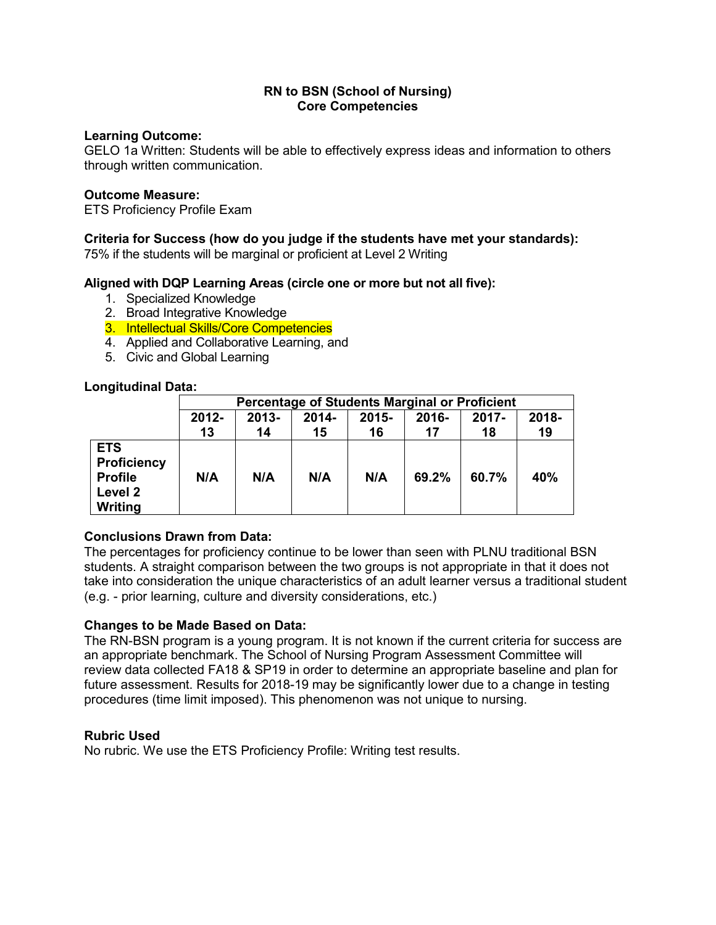## **Learning Outcome:**

GELO 1a Written: Students will be able to effectively express ideas and information to others through written communication.

### **Outcome Measure:**

ETS Proficiency Profile Exam

## **Criteria for Success (how do you judge if the students have met your standards):**

75% if the students will be marginal or proficient at Level 2 Writing

## **Aligned with DQP Learning Areas (circle one or more but not all five):**

- 1. Specialized Knowledge
- 2. Broad Integrative Knowledge
- 3. Intellectual Skills/Core Competencies
- 4. Applied and Collaborative Learning, and
- 5. Civic and Global Learning

## **Longitudinal Data:**

|                                                                          | Percentage of Students Marginal or Proficient |                |             |                |             |                |             |
|--------------------------------------------------------------------------|-----------------------------------------------|----------------|-------------|----------------|-------------|----------------|-------------|
|                                                                          | 2012-<br>13                                   | $2013 -$<br>14 | 2014-<br>15 | $2015 -$<br>16 | 2016-<br>17 | $2017 -$<br>18 | 2018-<br>19 |
| <b>ETS</b><br><b>Proficiency</b><br><b>Profile</b><br>Level 2<br>Writing | N/A                                           | N/A            | N/A         | N/A            | 69.2%       | 60.7%          | 40%         |

# **Conclusions Drawn from Data:**

The percentages for proficiency continue to be lower than seen with PLNU traditional BSN students. A straight comparison between the two groups is not appropriate in that it does not take into consideration the unique characteristics of an adult learner versus a traditional student (e.g. - prior learning, culture and diversity considerations, etc.)

# **Changes to be Made Based on Data:**

The RN-BSN program is a young program. It is not known if the current criteria for success are an appropriate benchmark. The School of Nursing Program Assessment Committee will review data collected FA18 & SP19 in order to determine an appropriate baseline and plan for future assessment. Results for 2018-19 may be significantly lower due to a change in testing procedures (time limit imposed). This phenomenon was not unique to nursing.

#### **Rubric Used**

No rubric. We use the ETS Proficiency Profile: Writing test results.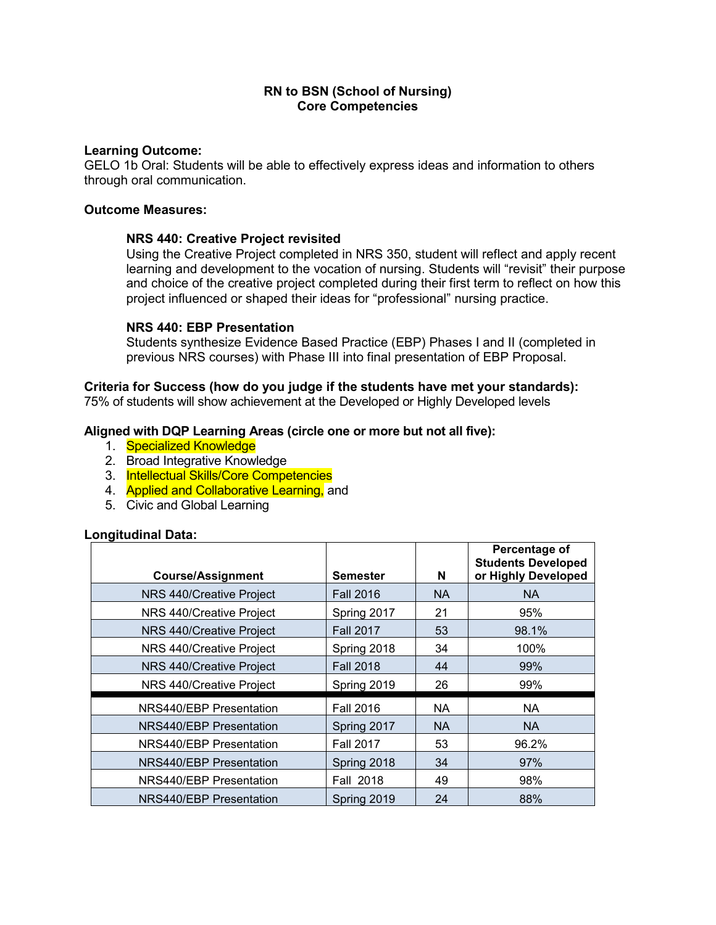### **Learning Outcome:**

GELO 1b Oral: Students will be able to effectively express ideas and information to others through oral communication.

## **Outcome Measures:**

## **NRS 440: Creative Project revisited**

Using the Creative Project completed in NRS 350, student will reflect and apply recent learning and development to the vocation of nursing. Students will "revisit" their purpose and choice of the creative project completed during their first term to reflect on how this project influenced or shaped their ideas for "professional" nursing practice.

## **NRS 440: EBP Presentation**

Students synthesize Evidence Based Practice (EBP) Phases I and II (completed in previous NRS courses) with Phase III into final presentation of EBP Proposal.

#### **Criteria for Success (how do you judge if the students have met your standards):**

75% of students will show achievement at the Developed or Highly Developed levels

## **Aligned with DQP Learning Areas (circle one or more but not all five):**

- 1. Specialized Knowledge
- 2. Broad Integrative Knowledge
- 3. Intellectual Skills/Core Competencies
- 4. **Applied and Collaborative Learning, and**
- 5. Civic and Global Learning

#### **Longitudinal Data:**

| <b>Course/Assignment</b>       | <b>Semester</b>  | N         | Percentage of<br><b>Students Developed</b><br>or Highly Developed |
|--------------------------------|------------------|-----------|-------------------------------------------------------------------|
| NRS 440/Creative Project       | <b>Fall 2016</b> | <b>NA</b> | <b>NA</b>                                                         |
| NRS 440/Creative Project       | Spring 2017      | 21        | 95%                                                               |
| NRS 440/Creative Project       | <b>Fall 2017</b> | 53        | 98.1%                                                             |
| NRS 440/Creative Project       | Spring 2018      | 34        | 100%                                                              |
| NRS 440/Creative Project       | <b>Fall 2018</b> | 44        | 99%                                                               |
| NRS 440/Creative Project       | Spring 2019      | 26        | 99%                                                               |
| NRS440/EBP Presentation        | <b>Fall 2016</b> | NA.       | <b>NA</b>                                                         |
| <b>NRS440/EBP Presentation</b> | Spring 2017      | <b>NA</b> | <b>NA</b>                                                         |
| NRS440/EBP Presentation        | <b>Fall 2017</b> | 53        | 96.2%                                                             |
| NRS440/EBP Presentation        | Spring 2018      | 34        | 97%                                                               |
| NRS440/EBP Presentation        | Fall 2018        | 49        | 98%                                                               |
| NRS440/EBP Presentation        | Spring 2019      | 24        | 88%                                                               |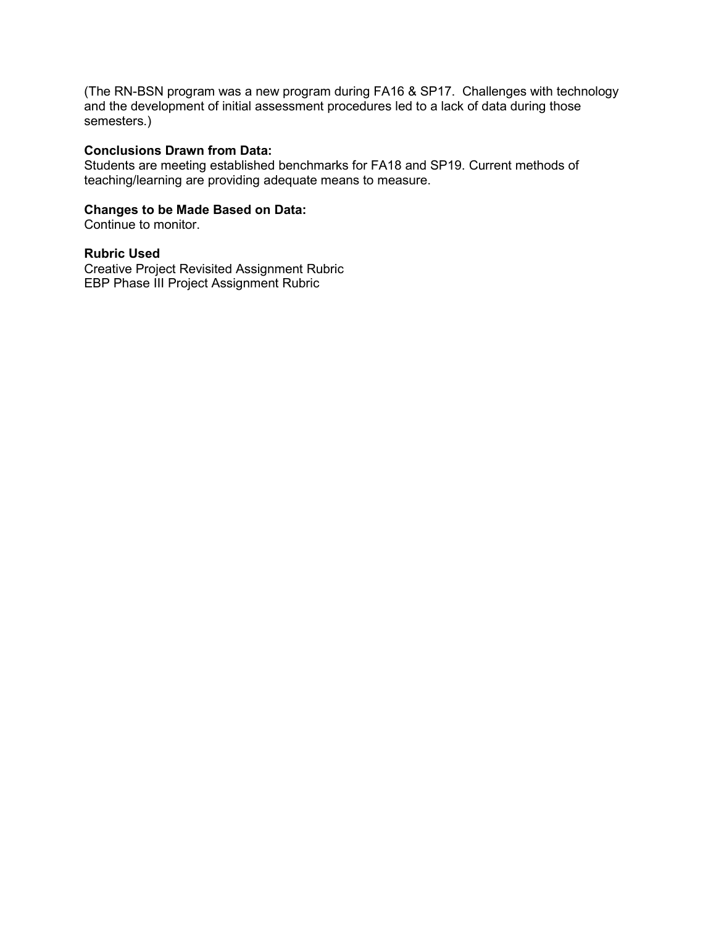(The RN-BSN program was a new program during FA16 & SP17. Challenges with technology and the development of initial assessment procedures led to a lack of data during those semesters.)

#### **Conclusions Drawn from Data:**

Students are meeting established benchmarks for FA18 and SP19. Current methods of teaching/learning are providing adequate means to measure.

## **Changes to be Made Based on Data:**

Continue to monitor.

#### **Rubric Used**

Creative Project Revisited Assignment Rubric EBP Phase III Project Assignment Rubric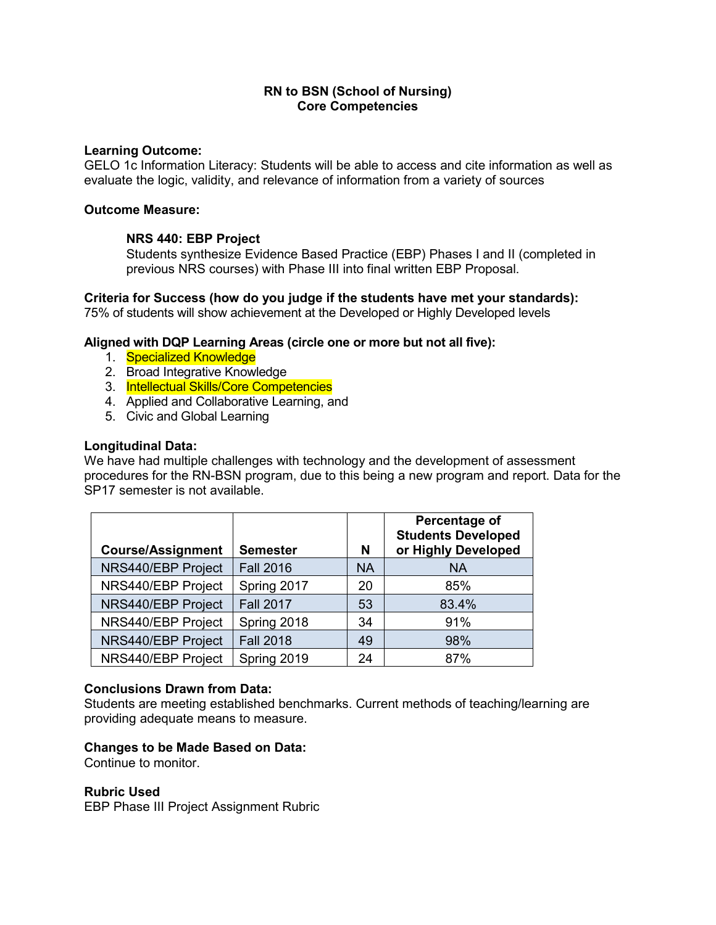### **Learning Outcome:**

GELO 1c Information Literacy: Students will be able to access and cite information as well as evaluate the logic, validity, and relevance of information from a variety of sources

## **Outcome Measure:**

## **NRS 440: EBP Project**

Students synthesize Evidence Based Practice (EBP) Phases I and II (completed in previous NRS courses) with Phase III into final written EBP Proposal.

**Criteria for Success (how do you judge if the students have met your standards):** 75% of students will show achievement at the Developed or Highly Developed levels

## **Aligned with DQP Learning Areas (circle one or more but not all five):**

- 1. Specialized Knowledge
- 2. Broad Integrative Knowledge
- 3. Intellectual Skills/Core Competencies
- 4. Applied and Collaborative Learning, and
- 5. Civic and Global Learning

## **Longitudinal Data:**

We have had multiple challenges with technology and the development of assessment procedures for the RN-BSN program, due to this being a new program and report. Data for the SP17 semester is not available.

| <b>Course/Assignment</b> | <b>Semester</b>  | N         | Percentage of<br><b>Students Developed</b><br>or Highly Developed |
|--------------------------|------------------|-----------|-------------------------------------------------------------------|
| NRS440/EBP Project       | <b>Fall 2016</b> | <b>NA</b> | <b>NA</b>                                                         |
| NRS440/EBP Project       | Spring 2017      | 20        | 85%                                                               |
| NRS440/EBP Project       | <b>Fall 2017</b> | 53        | 83.4%                                                             |
| NRS440/EBP Project       | Spring 2018      | 34        | 91%                                                               |
| NRS440/EBP Project       | <b>Fall 2018</b> | 49        | 98%                                                               |
| NRS440/EBP Project       | Spring 2019      | 24        | 87%                                                               |

#### **Conclusions Drawn from Data:**

Students are meeting established benchmarks. Current methods of teaching/learning are providing adequate means to measure.

#### **Changes to be Made Based on Data:**

Continue to monitor.

#### **Rubric Used**

EBP Phase III Project Assignment Rubric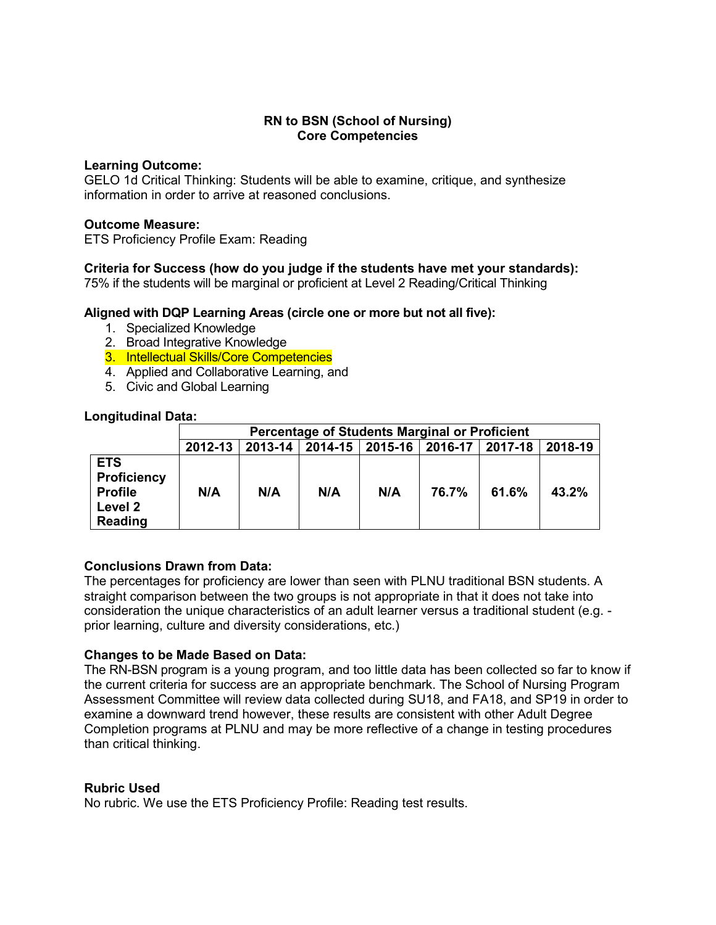## **Learning Outcome:**

GELO 1d Critical Thinking: Students will be able to examine, critique, and synthesize information in order to arrive at reasoned conclusions.

## **Outcome Measure:**

ETS Proficiency Profile Exam: Reading

## **Criteria for Success (how do you judge if the students have met your standards):**

75% if the students will be marginal or proficient at Level 2 Reading/Critical Thinking

## **Aligned with DQP Learning Areas (circle one or more but not all five):**

- 1. Specialized Knowledge
- 2. Broad Integrative Knowledge
- 3. Intellectual Skills/Core Competencies
- 4. Applied and Collaborative Learning, and
- 5. Civic and Global Learning

#### **Longitudinal Data:**

|                                                                   | <b>Percentage of Students Marginal or Proficient</b> |     |                                                 |     |       |       |         |  |
|-------------------------------------------------------------------|------------------------------------------------------|-----|-------------------------------------------------|-----|-------|-------|---------|--|
|                                                                   | 2012-13                                              |     | 2013-14   2014-15   2015-16   2016-17   2017-18 |     |       |       | 2018-19 |  |
| <b>ETS</b><br>Proficiency<br><b>Profile</b><br>Level 2<br>Reading | N/A                                                  | N/A | N/A                                             | N/A | 76.7% | 61.6% | 43.2%   |  |

# **Conclusions Drawn from Data:**

The percentages for proficiency are lower than seen with PLNU traditional BSN students. A straight comparison between the two groups is not appropriate in that it does not take into consideration the unique characteristics of an adult learner versus a traditional student (e.g. prior learning, culture and diversity considerations, etc.)

# **Changes to be Made Based on Data:**

The RN-BSN program is a young program, and too little data has been collected so far to know if the current criteria for success are an appropriate benchmark. The School of Nursing Program Assessment Committee will review data collected during SU18, and FA18, and SP19 in order to examine a downward trend however, these results are consistent with other Adult Degree Completion programs at PLNU and may be more reflective of a change in testing procedures than critical thinking.

#### **Rubric Used**

No rubric. We use the ETS Proficiency Profile: Reading test results.